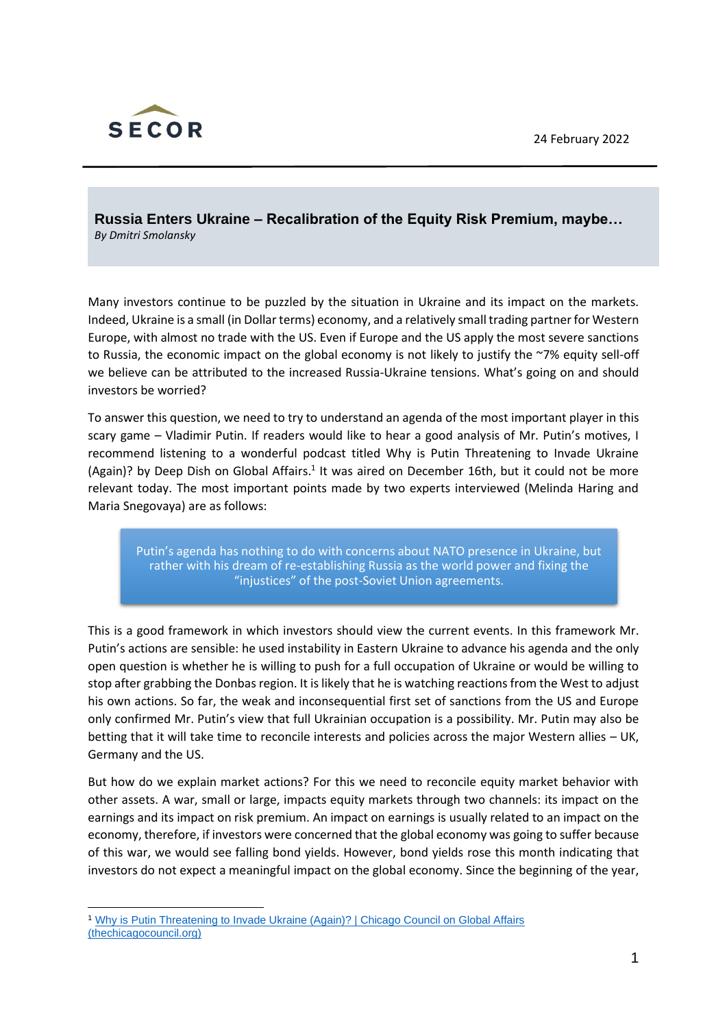

**Russia Enters Ukraine – Recalibration of the Equity Risk Premium, maybe…** *By Dmitri Smolansky*

Many investors continue to be puzzled by the situation in Ukraine and its impact on the markets. Indeed, Ukraine is a small (in Dollar terms) economy, and a relatively small trading partner for Western Europe, with almost no trade with the US. Even if Europe and the US apply the most severe sanctions to Russia, the economic impact on the global economy is not likely to justify the ~7% equity sell-off we believe can be attributed to the increased Russia-Ukraine tensions. What's going on and should investors be worried?

To answer this question, we need to try to understand an agenda of the most important player in this scary game – Vladimir Putin. If readers would like to hear a good analysis of Mr. Putin's motives, I recommend listening to a wonderful podcast titled Why is Putin Threatening to Invade Ukraine (Again)? by Deep Dish on Global Affairs.<sup>1</sup> It was aired on December 16th, but it could not be more relevant today. The most important points made by two experts interviewed (Melinda Haring and Maria Snegovaya) are as follows:

Putin's agenda has nothing to do with concerns about NATO presence in Ukraine, but rather with his dream of re-establishing Russia as the world power and fixing the "injustices" of the post-Soviet Union agreements.

This is a good framework in which investors should view the current events. In this framework Mr. Putin's actions are sensible: he used instability in Eastern Ukraine to advance his agenda and the only open question is whether he is willing to push for a full occupation of Ukraine or would be willing to stop after grabbing the Donbas region. It is likely that he is watching reactions from the West to adjust his own actions. So far, the weak and inconsequential first set of sanctions from the US and Europe only confirmed Mr. Putin's view that full Ukrainian occupation is a possibility. Mr. Putin may also be betting that it will take time to reconcile interests and policies across the major Western allies – UK, Germany and the US.

But how do we explain market actions? For this we need to reconcile equity market behavior with other assets. A war, small or large, impacts equity markets through two channels: its impact on the earnings and its impact on risk premium. An impact on earnings is usually related to an impact on the economy, therefore, if investors were concerned that the global economy was going to suffer because of this war, we would see falling bond yields. However, bond yields rose this month indicating that investors do not expect a meaningful impact on the global economy. Since the beginning of the year,

<sup>1</sup> [Why is Putin Threatening to Invade Ukraine \(Again\)? | Chicago Council on Global Affairs](https://www.thechicagocouncil.org/commentary-and-analysis/podcasts/why-putin-threatening-invade-ukraine-again)  [\(thechicagocouncil.org\)](https://www.thechicagocouncil.org/commentary-and-analysis/podcasts/why-putin-threatening-invade-ukraine-again)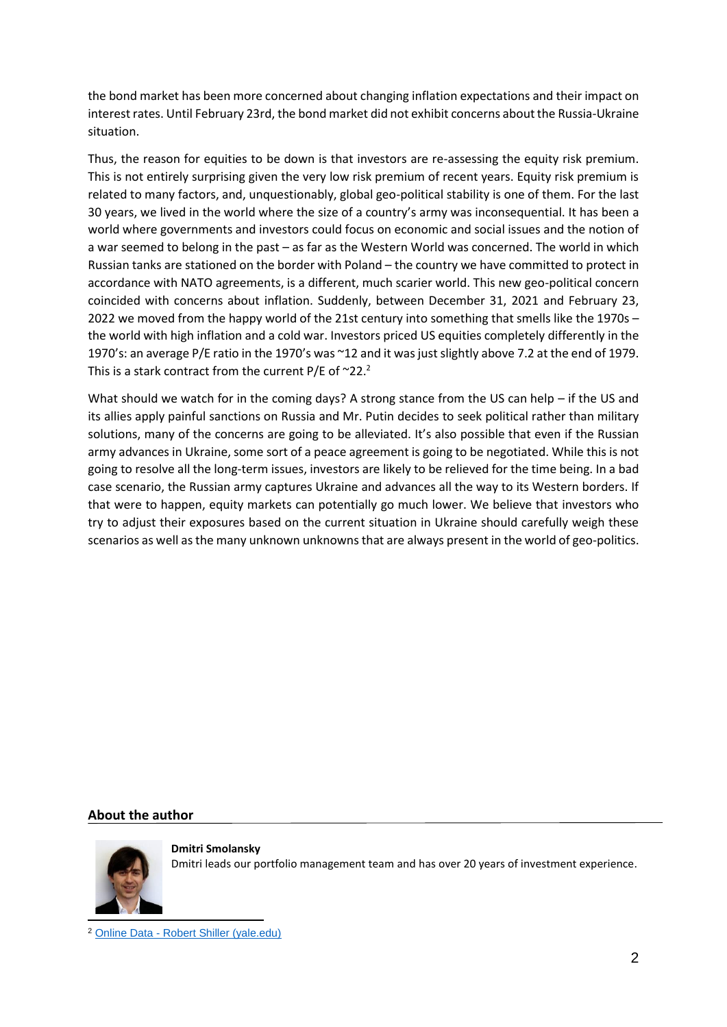the bond market has been more concerned about changing inflation expectations and their impact on interest rates. Until February 23rd, the bond market did not exhibit concerns about the Russia-Ukraine situation.

Thus, the reason for equities to be down is that investors are re-assessing the equity risk premium. This is not entirely surprising given the very low risk premium of recent years. Equity risk premium is related to many factors, and, unquestionably, global geo-political stability is one of them. For the last 30 years, we lived in the world where the size of a country's army was inconsequential. It has been a world where governments and investors could focus on economic and social issues and the notion of a war seemed to belong in the past – as far as the Western World was concerned. The world in which Russian tanks are stationed on the border with Poland – the country we have committed to protect in accordance with NATO agreements, is a different, much scarier world. This new geo-political concern coincided with concerns about inflation. Suddenly, between December 31, 2021 and February 23, 2022 we moved from the happy world of the 21st century into something that smells like the 1970s – the world with high inflation and a cold war. Investors priced US equities completely differently in the 1970's: an average P/E ratio in the 1970's was ~12 and it was just slightly above 7.2 at the end of 1979. This is a stark contract from the current P/E of  $\sim$ 22.<sup>2</sup>

What should we watch for in the coming days? A strong stance from the US can help – if the US and its allies apply painful sanctions on Russia and Mr. Putin decides to seek political rather than military solutions, many of the concerns are going to be alleviated. It's also possible that even if the Russian army advances in Ukraine, some sort of a peace agreement is going to be negotiated. While this is not going to resolve all the long-term issues, investors are likely to be relieved for the time being. In a bad case scenario, the Russian army captures Ukraine and advances all the way to its Western borders. If that were to happen, equity markets can potentially go much lower. We believe that investors who try to adjust their exposures based on the current situation in Ukraine should carefully weigh these scenarios as well as the many unknown unknowns that are always present in the world of geo-politics.

## **About the author**



**Dmitri Smolansky** Dmitri leads our portfolio management team and has over 20 years of investment experience.

<sup>2</sup> Online Data - [Robert Shiller \(yale.edu\)](http://www.econ.yale.edu/~shiller/data.htm)